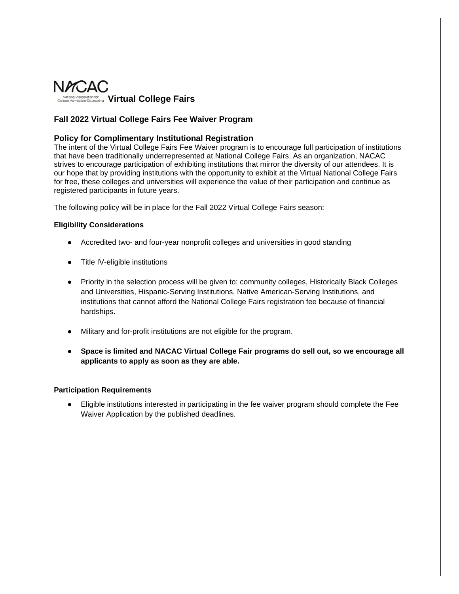

# **Fall 2022 Virtual College Fairs Fee Waiver Program**

## **Policy for Complimentary Institutional Registration**

The intent of the Virtual College Fairs Fee Waiver program is to encourage full participation of institutions that have been traditionally underrepresented at National College Fairs. As an organization, NACAC strives to encourage participation of exhibiting institutions that mirror the diversity of our attendees. It is our hope that by providing institutions with the opportunity to exhibit at the Virtual National College Fairs for free, these colleges and universities will experience the value of their participation and continue as registered participants in future years.

The following policy will be in place for the Fall 2022 Virtual College Fairs season:

### **Eligibility Considerations**

- Accredited two- and four-year nonprofit colleges and universities in good standing
- Title IV-eligible institutions
- Priority in the selection process will be given to: community colleges, Historically Black Colleges and Universities, Hispanic-Serving Institutions, Native American-Serving Institutions, and institutions that cannot afford the National College Fairs registration fee because of financial hardships.
- Military and for-profit institutions are not eligible for the program.
- **Space is limited and NACAC Virtual College Fair programs do sell out, so we encourage all applicants to apply as soon as they are able.**

## **Participation Requirements**

● Eligible institutions interested in participating in the fee waiver program should complete the Fee Waiver Application by the published deadlines.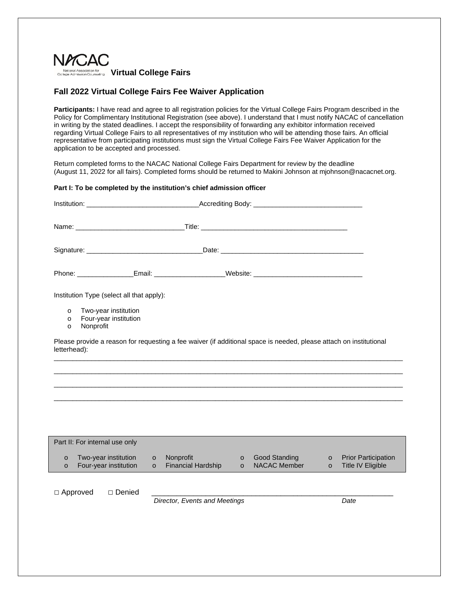

## **Fall 2022 Virtual College Fairs Fee Waiver Application**

**Participants:** I have read and agree to all registration policies for the Virtual College Fairs Program described in the Policy for Complimentary Institutional Registration (see above). I understand that I must notify NACAC of cancellation in writing by the stated deadlines. I accept the responsibility of forwarding any exhibitor information received regarding Virtual College Fairs to all representatives of my institution who will be attending those fairs. An official representative from participating institutions must sign the Virtual College Fairs Fee Waiver Application for the application to be accepted and processed.

Return completed forms to the NACAC National College Fairs Department for review by the deadline (August 11, 2022 for all fairs). Completed forms should be returned to Makini Johnson at mjohnson@nacacnet.org.

### **Part I: To be completed by the institution's chief admission officer**

| Institution Type (select all that apply):<br>Two-year institution<br>$\circ$<br>Four-year institution<br>$\circ$<br>Nonprofit<br>$\circ$ |                                                       |                                                     |                                                                              |  |  |
|------------------------------------------------------------------------------------------------------------------------------------------|-------------------------------------------------------|-----------------------------------------------------|------------------------------------------------------------------------------|--|--|
| Please provide a reason for requesting a fee waiver (if additional space is needed, please attach on institutional<br>letterhead):       |                                                       |                                                     |                                                                              |  |  |
|                                                                                                                                          |                                                       |                                                     |                                                                              |  |  |
|                                                                                                                                          |                                                       |                                                     |                                                                              |  |  |
|                                                                                                                                          |                                                       |                                                     |                                                                              |  |  |
|                                                                                                                                          |                                                       |                                                     |                                                                              |  |  |
| Part II: For internal use only                                                                                                           |                                                       |                                                     |                                                                              |  |  |
| Two-year institution<br>$\circ$<br>Four-year institution<br>$\circ$                                                                      | Nonprofit<br>$\circ$<br>Financial Hardship<br>$\circ$ | Good Standing<br>$\circ$<br>NACAC Member<br>$\circ$ | <b>Prior Participation</b><br>$\circ$<br><b>Title IV Eligible</b><br>$\circ$ |  |  |
| $\Box$ Approved<br>□ Denied                                                                                                              | Director, Events and Meetings                         |                                                     | Date                                                                         |  |  |
|                                                                                                                                          |                                                       |                                                     |                                                                              |  |  |
|                                                                                                                                          |                                                       |                                                     |                                                                              |  |  |
|                                                                                                                                          |                                                       |                                                     |                                                                              |  |  |
|                                                                                                                                          |                                                       |                                                     |                                                                              |  |  |